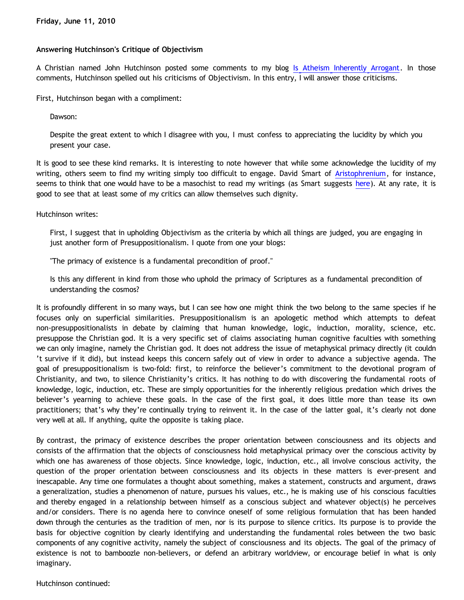## **Answering Hutchinson's Critique of Objectivism**

A Christian named John Hutchinson posted some comments to my blog [Is Atheism Inherently Arrogant](http://bahnsenburner.blogspot.com/2010/06/is-atheism-inherently-arrogant.html). In those comments, Hutchinson spelled out his criticisms of Objectivism. In this entry, I will answer those criticisms.

First, Hutchinson began with a compliment:

Dawson:

Despite the great extent to which I disagree with you, I must confess to appreciating the lucidity by which you present your case.

It is good to see these kind remarks. It is interesting to note however that while some acknowledge the lucidity of my writing, others seem to find my writing simply too difficult to engage. David Smart of [Aristophrenium](http://aristophrenium.com/), for instance, seems to think that one would have to be a masochist to read my writings (as Smart suggests [here](http://aristophrenium.com/ryft/arrogance-of-atheism-dawson-bethrick/)). At any rate, it is good to see that at least some of my critics can allow themselves such dignity.

Hutchinson writes:

First, I suggest that in upholding Objectivism as the criteria by which all things are judged, you are engaging in just another form of Presuppositionalism. I quote from one your blogs:

"The primacy of existence is a fundamental precondition of proof."

Is this any different in kind from those who uphold the primacy of Scriptures as a fundamental precondition of understanding the cosmos?

It is profoundly different in so many ways, but I can see how one might think the two belong to the same species if he focuses only on superficial similarities. Presuppositionalism is an apologetic method which attempts to defeat non-presuppositionalists in debate by claiming that human knowledge, logic, induction, morality, science, etc. presuppose the Christian god. It is a very specific set of claims associating human cognitive faculties with something we can only imagine, namely the Christian god. It does not address the issue of metaphysical primacy directly (it couldn 't survive if it did), but instead keeps this concern safely out of view in order to advance a subjective agenda. The goal of presuppositionalism is two-fold: first, to reinforce the believer's commitment to the devotional program of Christianity, and two, to silence Christianity's critics. It has nothing to do with discovering the fundamental roots of knowledge, logic, induction, etc. These are simply opportunities for the inherently religious predation which drives the believer's yearning to achieve these goals. In the case of the first goal, it does little more than tease its own practitioners; that's why they're continually trying to reinvent it. In the case of the latter goal, it's clearly not done very well at all. If anything, quite the opposite is taking place.

By contrast, the primacy of existence describes the proper orientation between consciousness and its objects and consists of the affirmation that the objects of consciousness hold metaphysical primacy over the conscious activity by which one has awareness of those objects. Since knowledge, logic, induction, etc., all involve conscious activity, the question of the proper orientation between consciousness and its objects in these matters is ever-present and inescapable. Any time one formulates a thought about something, makes a statement, constructs and argument, draws a generalization, studies a phenomenon of nature, pursues his values, etc., he is making use of his conscious faculties and thereby engaged in a relationship between himself as a conscious subject and whatever object(s) he perceives and/or considers. There is no agenda here to convince oneself of some religious formulation that has been handed down through the centuries as the tradition of men, nor is its purpose to silence critics. Its purpose is to provide the basis for objective cognition by clearly identifying and understanding the fundamental roles between the two basic components of any cognitive activity, namely the subject of consciousness and its objects. The goal of the primacy of existence is not to bamboozle non-believers, or defend an arbitrary worldview, or encourage belief in what is only imaginary.

Hutchinson continued: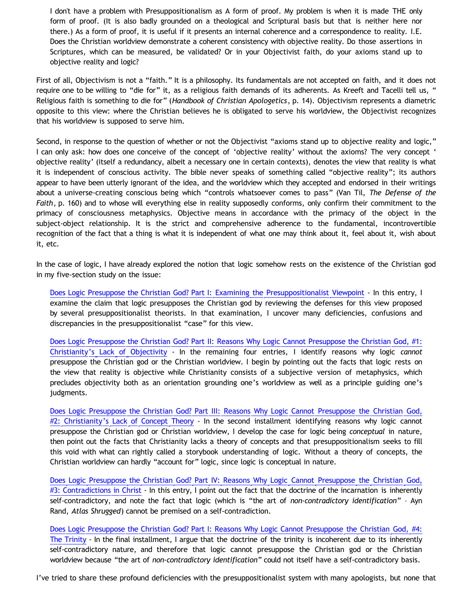I don't have a problem with Presuppositionalism as A form of proof. My problem is when it is made THE only form of proof. (It is also badly grounded on a theological and Scriptural basis but that is neither here nor there.) As a form of proof, it is useful if it presents an internal coherence and a correspondence to reality. I.E. Does the Christian worldview demonstrate a coherent consistency with objective reality. Do those assertions in Scriptures, which can be measured, be validated? Or in your Objectivist faith, do your axioms stand up to objective reality and logic?

First of all, Objectivism is not a "faith." It is a philosophy. Its fundamentals are not accepted on faith, and it does not require one to be willing to "die for" it, as a religious faith demands of its adherents. As Kreeft and Tacelli tell us, " Religious faith is something to die for" (*Handbook of Christian Apologetics*, p. 14). Objectivism represents a diametric opposite to this view: where the Christian believes he is obligated to serve his worldview, the Objectivist recognizes that his worldview is supposed to serve him.

Second, in response to the question of whether or not the Objectivist "axioms stand up to objective reality and logic," I can only ask: how does one conceive of the concept of 'objective reality' without the axioms? The very concept ' objective reality' (itself a redundancy, albeit a necessary one in certain contexts), denotes the view that reality is what it is independent of conscious activity. The bible never speaks of something called "objective reality"; its authors appear to have been utterly ignorant of the idea, and the worldview which they accepted and endorsed in their writings about a universe-creating conscious being which "controls whatsoever comes to pass" (Van Til, *The Defense of the Faith*, p. 160) and to whose will everything else in reality supposedly conforms, only confirm their commitment to the primacy of consciousness metaphysics. Objective means in accordance with the primacy of the object in the subject-object relationship. It is the strict and comprehensive adherence to the fundamental, incontrovertible recognition of the fact that a thing is what it is independent of what one may think about it, feel about it, wish about it, etc.

In the case of logic, I have already explored the notion that logic somehow rests on the existence of the Christian god in my five-section study on the issue:

[Does Logic Presuppose the Christian God? Part I: Examining the Presuppositionalist Viewpoint](http://bahnsenburner.blogspot.com/2009/06/does-logic-presuppose-christian-god.html) - In this entry, I examine the claim that logic presupposes the Christian god by reviewing the defenses for this view proposed by several presuppositionalist theorists. In that examination, I uncover many deficiencies, confusions and discrepancies in the presuppositionalist "case" for this view.

[Does Logic Presuppose the Christian God? Part II: Reasons Why Logic Cannot Presuppose the Christian God, #1:](http://bahnsenburner.blogspot.com/2009/07/does-logic-presuppose-christian-god.html) [Christianity's Lack of Objectivity](http://bahnsenburner.blogspot.com/2009/07/does-logic-presuppose-christian-god.html) - In the remaining four entries, I identify reasons why logic *cannot* presuppose the Christian god or the Christian worldview. I begin by pointing out the facts that logic rests on the view that reality is objective while Christianity consists of a subjective version of metaphysics, which precludes objectivity both as an orientation grounding one's worldview as well as a principle guiding one's judgments.

[Does Logic Presuppose the Christian God? Part III: Reasons Why Logic Cannot Presuppose the Christian God,](http://bahnsenburner.blogspot.com/2009/07/does-logic-presuppose-christian-god_04.html) [#2: Christianity's Lack of Concept Theory](http://bahnsenburner.blogspot.com/2009/07/does-logic-presuppose-christian-god_04.html) - In the second installment identifying reasons why logic cannot presuppose the Christian god or Christian worldview, I develop the case for logic being *conceptual* in nature, then point out the facts that Christianity lacks a theory of concepts and that presuppositionalism seeks to fill this void with what can rightly called a storybook understanding of logic. Without a theory of concepts, the Christian worldview can hardly "account for" logic, since logic is conceptual in nature.

[Does Logic Presuppose the Christian God? Part IV: Reasons Why Logic Cannot Presuppose the Christian God,](http://bahnsenburner.blogspot.com/2009/07/does-logic-presuppose-christian-god_06.html) [#3: Contradictions in Christ](http://bahnsenburner.blogspot.com/2009/07/does-logic-presuppose-christian-god_06.html) - In this entry, I point out the fact that the doctrine of the incarnation is inherently self-contradictory, and note the fact that logic (which is "the art of *non-contradictory identification*" – Ayn Rand, *Atlas Shrugged*) cannot be premised on a self-contradiction.

[Does Logic Presuppose the Christian God? Part I: Reasons Why Logic Cannot Presuppose the Christian God, #4:](http://bahnsenburner.blogspot.com/2009/07/does-logic-presuppose-christian-god_08.html) [The Trinity](http://bahnsenburner.blogspot.com/2009/07/does-logic-presuppose-christian-god_08.html) - In the final installment, I argue that the doctrine of the trinity is incoherent due to its inherently self-contradictory nature, and therefore that logic cannot presuppose the Christian god or the Christian worldview because "the art of *non-contradictory identification*" could not itself have a self-contradictory basis.

I've tried to share these profound deficiencies with the presuppositionalist system with many apologists, but none that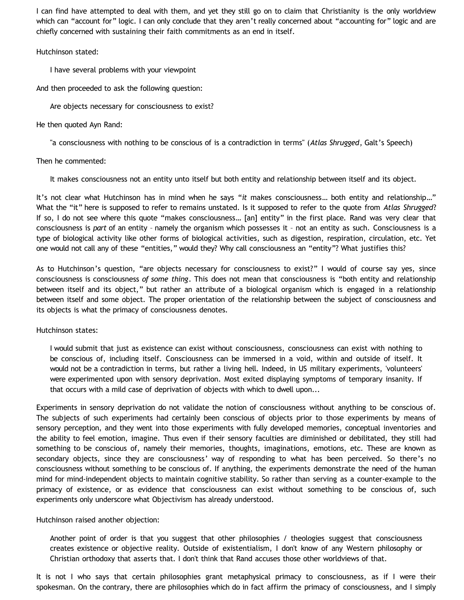I can find have attempted to deal with them, and yet they still go on to claim that Christianity is the only worldview which can "account for" logic. I can only conclude that they aren't really concerned about "accounting for" logic and are chiefly concerned with sustaining their faith commitments as an end in itself.

## Hutchinson stated:

I have several problems with your viewpoint

And then proceeded to ask the following question:

Are objects necessary for consciousness to exist?

## He then quoted Ayn Rand:

"a consciousness with nothing to be conscious of is a contradiction in terms" (*Atlas Shrugged*, Galt's Speech)

# Then he commented:

It makes consciousness not an entity unto itself but both entity and relationship between itself and its object.

It's not clear what Hutchinson has in mind when he says "*it* makes consciousness… both entity and relationship…" What the "it" here is supposed to refer to remains unstated. Is it supposed to refer to the quote from *Atlas Shrugged*? If so, I do not see where this quote "makes consciousness… [an] entity" in the first place. Rand was very clear that consciousness is *part* of an entity – namely the organism which possesses it – not an entity as such. Consciousness is a type of biological activity like other forms of biological activities, such as digestion, respiration, circulation, etc. Yet one would not call any of these "entities," would they? Why call consciousness an "entity"? What justifies this?

As to Hutchinson's question, "are objects necessary for consciousness to exist?" I would of course say yes, since consciousness is consciousness *of some thing*. This does not mean that consciousness is "both entity and relationship between itself and its object," but rather an attribute of a biological organism which is engaged in a relationship between itself and some object. The proper orientation of the relationship between the subject of consciousness and its objects is what the primacy of consciousness denotes.

Hutchinson states:

I would submit that just as existence can exist without consciousness, consciousness can exist with nothing to be conscious of, including itself. Consciousness can be immersed in a void, within and outside of itself. It would not be a contradiction in terms, but rather a living hell. Indeed, in US military experiments, 'volunteers' were experimented upon with sensory deprivation. Most exited displaying symptoms of temporary insanity. If that occurs with a mild case of deprivation of objects with which to dwell upon...

Experiments in sensory deprivation do not validate the notion of consciousness without anything to be conscious of. The subjects of such experiments had certainly been conscious of objects prior to those experiments by means of sensory perception, and they went into those experiments with fully developed memories, conceptual inventories and the ability to feel emotion, imagine. Thus even if their sensory faculties are diminished or debilitated, they still had something to be conscious of, namely their memories, thoughts, imaginations, emotions, etc. These are known as secondary objects, since they are consciousness' way of responding to what has been perceived. So there's no consciousness without something to be conscious of. If anything, the experiments demonstrate the need of the human mind for mind-independent objects to maintain cognitive stability. So rather than serving as a counter-example to the primacy of existence, or as evidence that consciousness can exist without something to be conscious of, such experiments only underscore what Objectivism has already understood.

Hutchinson raised another objection:

Another point of order is that you suggest that other philosophies / theologies suggest that consciousness creates existence or objective reality. Outside of existentialism, I don't know of any Western philosophy or Christian orthodoxy that asserts that. I don't think that Rand accuses those other worldviews of that.

It is not I who says that certain philosophies grant metaphysical primacy to consciousness, as if I were their spokesman. On the contrary, there are philosophies which do in fact affirm the primacy of consciousness, and I simply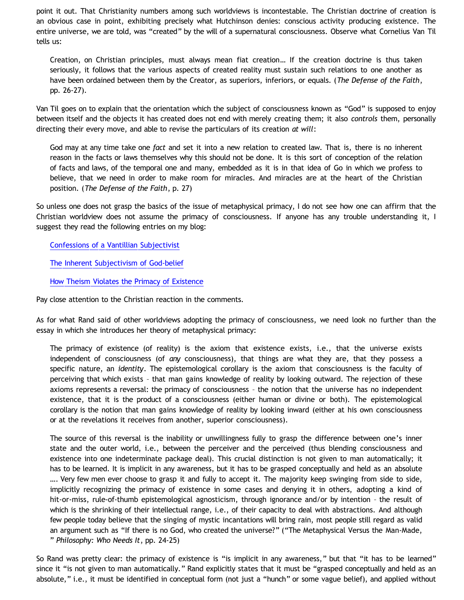point it out. That Christianity numbers among such worldviews is incontestable. The Christian doctrine of creation is an obvious case in point, exhibiting precisely what Hutchinson denies: conscious activity producing existence. The entire universe, we are told, was "created" by the will of a supernatural consciousness. Observe what Cornelius Van Til tells us:

Creation, on Christian principles, must always mean fiat creation… If the creation doctrine is thus taken seriously, it follows that the various aspects of created reality must sustain such relations to one another as have been ordained between them by the Creator, as superiors, inferiors, or equals. (*The Defense of the Faith*, pp. 26-27).

Van Til goes on to explain that the orientation which the subject of consciousness known as "God" is supposed to enjoy between itself and the objects it has created does not end with merely creating them; it also *controls* them, personally directing their every move, and able to revise the particulars of its creation *at will*:

God may at any time take one *fact* and set it into a new relation to created law. That is, there is no inherent reason in the facts or laws themselves why this should not be done. It is this sort of conception of the relation of facts and laws, of the temporal one and many, embedded as it is in that idea of Go in which we profess to believe, that we need in order to make room for miracles. And miracles are at the heart of the Christian position. (*The Defense of the Faith*, p. 27)

So unless one does not grasp the basics of the issue of metaphysical primacy, I do not see how one can affirm that the Christian worldview does not assume the primacy of consciousness. If anyone has any trouble understanding it, I suggest they read the following entries on my blog:

[Confessions of a Vantillian Subjectivist](http://bahnsenburner.blogspot.com/2006/03/confessions-of-vantillian-subjectivist.html)

[The Inherent Subjectivism of God-belief](http://bahnsenburner.blogspot.com/2008/12/inherent-subjectivism-of-god-belief.html)

[How Theism Violates the Primacy of Existence](http://bahnsenburner.blogspot.com/2010/02/how-theism-violates-primacy-of.html)

Pay close attention to the Christian reaction in the comments.

As for what Rand said of other worldviews adopting the primacy of consciousness, we need look no further than the essay in which she introduces her theory of metaphysical primacy:

The primacy of existence (of reality) is the axiom that existence exists, i.e., that the universe exists independent of consciousness (of *any* consciousness), that things are what they are, that they possess a specific nature, an *identity*. The epistemological corollary is the axiom that consciousness is the faculty of perceiving that which exists – that man gains knowledge of reality by looking outward. The rejection of these axioms represents a reversal: the primacy of consciousness – the notion that the universe has no independent existence, that it is the product of a consciousness (either human or divine or both). The epistemological corollary is the notion that man gains knowledge of reality by looking inward (either at his own consciousness or at the revelations it receives from another, superior consciousness).

The source of this reversal is the inability or unwillingness fully to grasp the difference between one's inner state and the outer world, i.e., between the perceiver and the perceived (thus blending consciousness and existence into one indeterminate package deal). This crucial distinction is not given to man automatically; it has to be learned. It is implicit in any awareness, but it has to be grasped conceptually and held as an absolute …. Very few men ever choose to grasp it and fully to accept it. The majority keep swinging from side to side, implicitly recognizing the primacy of existence in some cases and denying it in others, adopting a kind of hit-or-miss, rule-of-thumb epistemological agnosticism, through ignorance and/or by intention – the result of which is the shrinking of their intellectual range, i.e., of their capacity to deal with abstractions. And although few people today believe that the singing of mystic incantations will bring rain, most people still regard as valid an argument such as "If there is no God, who created the universe?" ("The Metaphysical Versus the Man-Made, " *Philosophy: Who Needs It*, pp. 24-25)

So Rand was pretty clear: the primacy of existence is "is implicit in any awareness," but that "it has to be learned" since it "is not given to man automatically." Rand explicitly states that it must be "grasped conceptually and held as an absolute," i.e., it must be identified in conceptual form (not just a "hunch" or some vague belief), and applied without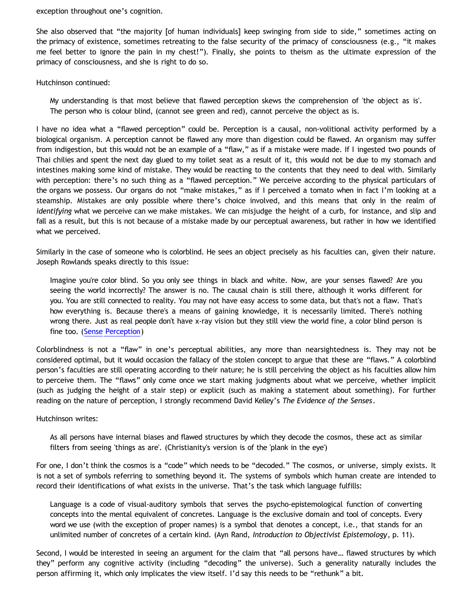exception throughout one's cognition.

She also observed that "the majority [of human individuals] keep swinging from side to side," sometimes acting on the primacy of existence, sometimes retreating to the false security of the primacy of consciousness (e.g., "it makes me feel better to ignore the pain in my chest!"). Finally, she points to theism as the ultimate expression of the primacy of consciousness, and she is right to do so.

Hutchinson continued:

My understanding is that most believe that flawed perception skews the comprehension of 'the object as is'. The person who is colour blind, (cannot see green and red), cannot perceive the object as is.

I have no idea what a "flawed perception" could be. Perception is a causal, non-volitional activity performed by a biological organism. A perception cannot be flawed any more than digestion could be flawed. An organism may suffer from indigestion, but this would not be an example of a "flaw," as if a mistake were made. If I ingested two pounds of Thai chilies and spent the next day glued to my toilet seat as a result of it, this would not be due to my stomach and intestines making some kind of mistake. They would be reacting to the contents that they need to deal with. Similarly with perception: there's no such thing as a "flawed perception." We perceive according to the physical particulars of the organs we possess. Our organs do not "make mistakes," as if I perceived a tomato when in fact I'm looking at a steamship. Mistakes are only possible where there's choice involved, and this means that only in the realm of *identifying* what we perceive can we make mistakes. We can misjudge the height of a curb, for instance, and slip and fall as a result, but this is not because of a mistake made by our perceptual awareness, but rather in how we identified what we perceived.

Similarly in the case of someone who is colorblind. He sees an object precisely as his faculties can, given their nature. Joseph Rowlands speaks directly to this issue:

Imagine you're color blind. So you only see things in black and white. Now, are your senses flawed? Are you seeing the world incorrectly? The answer is no. The causal chain is still there, although it works different for you. You are still connected to reality. You may not have easy access to some data, but that's not a flaw. That's how everything is. Because there's a means of gaining knowledge, it is necessarily limited. There's nothing wrong there. Just as real people don't have x-ray vision but they still view the world fine, a color blind person is fine too. ([Sense Perception](http://objectivism101.com/Lectures/Lecture4.shtml))

Colorblindness is not a "flaw" in one's perceptual abilities, any more than nearsightedness is. They may not be considered optimal, but it would occasion the fallacy of the stolen concept to argue that these are "flaws." A colorblind person's faculties are still operating according to their nature; he is still perceiving the object as his faculties allow him to perceive them. The "flaws" only come once we start making judgments about what we perceive, whether implicit (such as judging the height of a stair step) or explicit (such as making a statement about something). For further reading on the nature of perception, I strongly recommend David Kelley's *The Evidence of the Senses*.

Hutchinson writes:

As all persons have internal biases and flawed structures by which they decode the cosmos, these act as similar filters from seeing 'things as are'. (Christianity's version is of the 'plank in the eye')

For one, I don't think the cosmos is a "code" which needs to be "decoded." The cosmos, or universe, simply exists. It is not a set of symbols referring to something beyond it. The systems of symbols which human create are intended to record their identifications of what exists in the universe. That's the task which language fulfills:

Language is a code of visual-auditory symbols that serves the psycho-epistemological function of converting concepts into the mental equivalent of concretes. Language is the exclusive domain and tool of concepts. Every word we use (with the exception of proper names) is a symbol that denotes a concept, i.e., that stands for an unlimited number of concretes of a certain kind. (Ayn Rand, *Introduction to Objectivist Epistemology*, p. 11).

Second, I would be interested in seeing an argument for the claim that "all persons have… flawed structures by which they" perform any cognitive activity (including "decoding" the universe). Such a generality naturally includes the person affirming it, which only implicates the view itself. I'd say this needs to be "rethunk" a bit.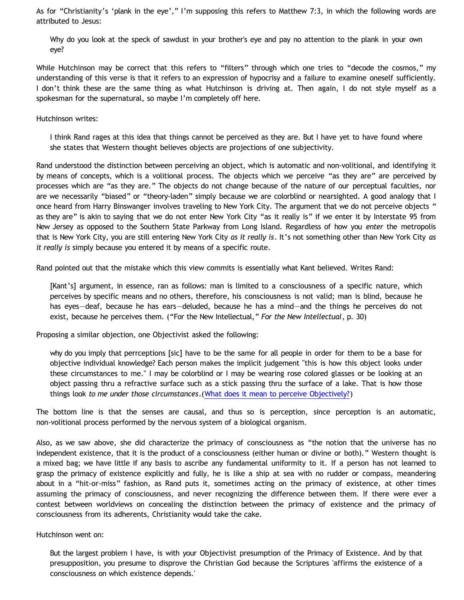As for "Christianity's 'plank in the eye'," I'm supposing this refers to Matthew 7:3, in which the following words are attributed to Jesus:

Why do you look at the speck of sawdust in your brother's eye and pay no attention to the plank in your own eye?

While Hutchinson may be correct that this refers to "filters" through which one tries to "decode the cosmos," my understanding of this verse is that it refers to an expression of hypocrisy and a failure to examine oneself sufficiently. I don't think these are the same thing as what Hutchinson is driving at. Then again, I do not style myself as a spokesman for the supernatural, so maybe I'm completely off here.

Hutchinson writes:

I think Rand rages at this idea that things cannot be perceived as they are. But I have yet to have found where she states that Western thought believes objects are projections of one subjectivity.

Rand understood the distinction between perceiving an object, which is automatic and non-volitional, and identifying it by means of concepts, which is a volitional process. The objects which we perceive "as they are" are perceived by processes which are "as they are." The objects do not change because of the nature of our perceptual faculties, nor are we necessarily "biased" or "theory-laden" simply because we are colorblind or nearsighted. A good analogy that I once heard from Harry Binswanger involves traveling to New York City. The argument that we do not perceive objects " as they are" is akin to saying that we do not enter New York City "as it really is" if we enter it by Interstate 95 from New Jersey as opposed to the Southern State Parkway from Long Island. Regardless of how you *enter* the metropolis that is New York City, you are still entering New York City *as it really is*. It's not something other than New York City *as it really is* simply because you entered it by means of a specific route.

Rand pointed out that the mistake which this view commits is essentially what Kant believed. Writes Rand:

[Kant's] argument, in essence, ran as follows: man is limited to a consciousness of a specific nature, which perceives by specific means and no others, therefore, his consciousness is not valid; man is blind, because he has eyes—deaf, because he has ears—deluded, because he has a mind—and the things he perceives do not exist, because he perceives them. ("For the New Intellectual," *For the New Intellectual*, p. 30)

Proposing a similar objection, one Objectivist asked the following:

why do you imply that perrceptions [sic] have to be the same for all people in order for them to be a base for objective individual knowledge? Each person makes the implicit judgement "this is how this object looks under these circumstances to me." I may be colorblind or I may be wearing rose colored glasses or be looking at an object passing thru a refractive surface such as a stick passing thru the surface of a lake. That is how those things look *to me under those circumstances*.([What does it mean to perceive Objectively?](http://www.objectivistliving.com/forums/index.php?showtopic=7143))

The bottom line is that the senses are causal, and thus so is perception, since perception is an automatic, non-volitional process performed by the nervous system of a biological organism.

Also, as we saw above, she did characterize the primacy of consciousness as "the notion that the universe has no independent existence, that it is the product of a consciousness (either human or divine or both)." Western thought is a mixed bag; we have little if any basis to ascribe any fundamental uniformity to it. If a person has not learned to grasp the primacy of existence explicitly and fully, he is like a ship at sea with no rudder or compass, meandering about in a "hit-or-miss" fashion, as Rand puts it, sometimes acting on the primacy of existence, at other times assuming the primacy of consciousness, and never recognizing the difference between them. If there were ever a contest between worldviews on concealing the distinction between the primacy of existence and the primacy of consciousness from its adherents, Christianity would take the cake.

Hutchinson went on:

But the largest problem I have, is with your Objectivist presumption of the Primacy of Existence. And by that presupposition, you presume to disprove the Christian God because the Scriptures 'affirms the existence of a consciousness on which existence depends.'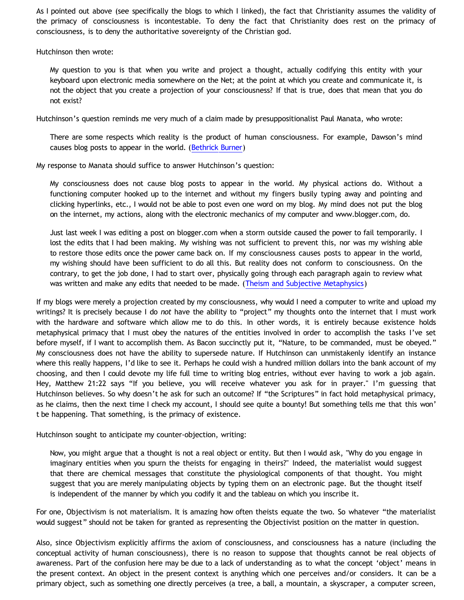As I pointed out above (see specifically the blogs to which I linked), the fact that Christianity assumes the validity of the primacy of consciousness is incontestable. To deny the fact that Christianity does rest on the primacy of consciousness, is to deny the authoritative sovereignty of the Christian god.

Hutchinson then wrote:

My question to you is that when you write and project a thought, actually codifying this entity with your keyboard upon electronic media somewhere on the Net; at the point at which you create and communicate it, is not the object that you create a projection of your consciousness? If that is true, does that mean that you do not exist?

Hutchinson's question reminds me very much of a claim made by presuppositionalist Paul Manata, who wrote:

There are some respects which reality is the product of human consciousness. For example, Dawson's mind causes blog posts to appear in the world. ([Bethrick Burner](http://triablogue.blogspot.com/2006/11/bethrick-burner.html))

My response to Manata should suffice to answer Hutchinson's question:

My consciousness does not cause blog posts to appear in the world. My physical actions do. Without a functioning computer hooked up to the internet and without my fingers busily typing away and pointing and clicking hyperlinks, etc., I would not be able to post even one word on my blog. My mind does not put the blog on the internet, my actions, along with the electronic mechanics of my computer and www.blogger.com, do.

Just last week I was editing a post on blogger.com when a storm outside caused the power to fail temporarily. I lost the edits that I had been making. My wishing was not sufficient to prevent this, nor was my wishing able to restore those edits once the power came back on. If my consciousness causes posts to appear in the world, my wishing should have been sufficient to do all this. But reality does not conform to consciousness. On the contrary, to get the job done, I had to start over, physically going through each paragraph again to review what was written and make any edits that needed to be made. ([Theism and Subjective Metaphysics\)](http://bahnsenburner.blogspot.com/2006/12/theism-and-subjective-metaphysics.html)

If my blogs were merely a projection created by my consciousness, why would I need a computer to write and upload my writings? It is precisely because I do *not* have the ability to "project" my thoughts onto the internet that I must work with the hardware and software which allow me to do this. In other words, it is entirely because existence holds metaphysical primacy that I must obey the natures of the entities involved in order to accomplish the tasks I've set before myself, if I want to accomplish them. As Bacon succinctly put it, "Nature, to be commanded, must be obeyed." My consciousness does not have the ability to supersede nature. If Hutchinson can unmistakenly identify an instance where this really happens, I'd like to see it. Perhaps he could wish a hundred million dollars into the bank account of my choosing, and then I could devote my life full time to writing blog entries, without ever having to work a job again. Hey, Matthew 21:22 says "If you believe, you will receive whatever you ask for in prayer." I'm guessing that Hutchinson believes. So why doesn't he ask for such an outcome? If "the Scriptures" in fact hold metaphysical primacy, as he claims, then the next time I check my account, I should see quite a bounty! But something tells me that this won' t be happening. That something, is the primacy of existence.

Hutchinson sought to anticipate my counter-objection, writing:

Now, you might argue that a thought is not a real object or entity. But then I would ask, "Why do you engage in imaginary entities when you spurn the theists for engaging in theirs?" Indeed, the materialist would suggest that there are chemical messages that constitute the physiological components of that thought. You might suggest that you are merely manipulating objects by typing them on an electronic page. But the thought itself is independent of the manner by which you codify it and the tableau on which you inscribe it.

For one, Objectivism is not materialism. It is amazing how often theists equate the two. So whatever "the materialist would suggest" should not be taken for granted as representing the Objectivist position on the matter in question.

Also, since Objectivism explicitly affirms the axiom of consciousness, and consciousness has a nature (including the conceptual activity of human consciousness), there is no reason to suppose that thoughts cannot be real objects of awareness. Part of the confusion here may be due to a lack of understanding as to what the concept 'object' means in the present context. An object in the present context is anything which one perceives and/or considers. It can be a primary object, such as something one directly perceives (a tree, a ball, a mountain, a skyscraper, a computer screen,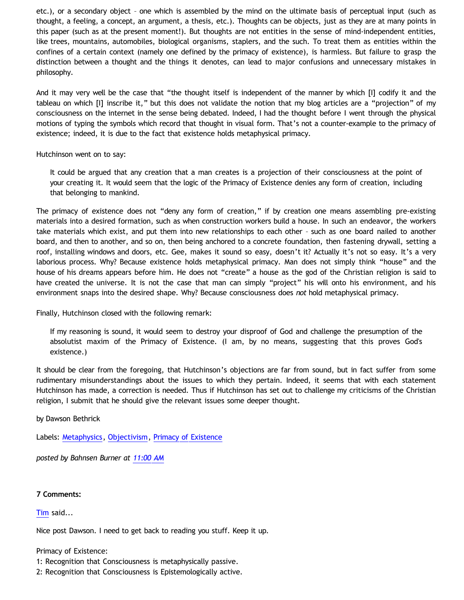etc.), or a secondary object – one which is assembled by the mind on the ultimate basis of perceptual input (such as thought, a feeling, a concept, an argument, a thesis, etc.). Thoughts can be objects, just as they are at many points in this paper (such as at the present moment!). But thoughts are not entities in the sense of mind-independent entities, like trees, mountains, automobiles, biological organisms, staplers, and the such. To treat them as entities within the confines of a certain context (namely one defined by the primacy of existence), is harmless. But failure to grasp the distinction between a thought and the things it denotes, can lead to major confusions and unnecessary mistakes in philosophy.

And it may very well be the case that "the thought itself is independent of the manner by which [I] codify it and the tableau on which [I] inscribe it," but this does not validate the notion that my blog articles are a "projection" of my consciousness on the internet in the sense being debated. Indeed, I had the thought before I went through the physical motions of typing the symbols which record that thought in visual form. That's not a counter-example to the primacy of existence; indeed, it is due to the fact that existence holds metaphysical primacy.

Hutchinson went on to say:

It could be argued that any creation that a man creates is a projection of their consciousness at the point of your creating it. It would seem that the logic of the Primacy of Existence denies any form of creation, including that belonging to mankind.

The primacy of existence does not "deny any form of creation," if by creation one means assembling pre-existing materials into a desired formation, such as when construction workers build a house. In such an endeavor, the workers take materials which exist, and put them into new relationships to each other – such as one board nailed to another board, and then to another, and so on, then being anchored to a concrete foundation, then fastening drywall, setting a roof, installing windows and doors, etc. Gee, makes it sound so easy, doesn't it? Actually it's not so easy. It's a very laborious process. Why? Because existence holds metaphysical primacy. Man does not simply think "house" and the house of his dreams appears before him. He does not "create" a house as the god of the Christian religion is said to have created the universe. It is not the case that man can simply "project" his will onto his environment, and his environment snaps into the desired shape. Why? Because consciousness does *not* hold metaphysical primacy.

Finally, Hutchinson closed with the following remark:

If my reasoning is sound, it would seem to destroy your disproof of God and challenge the presumption of the absolutist maxim of the Primacy of Existence. (I am, by no means, suggesting that this proves God's existence.)

It should be clear from the foregoing, that Hutchinson's objections are far from sound, but in fact suffer from some rudimentary misunderstandings about the issues to which they pertain. Indeed, it seems that with each statement Hutchinson has made, a correction is needed. Thus if Hutchinson has set out to challenge my criticisms of the Christian religion, I submit that he should give the relevant issues some deeper thought.

by Dawson Bethrick

Labels: [Metaphysics,](http://bahnsenburner.blogspot.com/search/label/Metaphysics) [Objectivism,](http://bahnsenburner.blogspot.com/search/label/Objectivism) [Primacy of Existence](http://bahnsenburner.blogspot.com/search/label/Primacy%20of%20Existence)

*posted by Bahnsen Burner at [11:00 AM](http://bahnsenburner.blogspot.com/2010/06/answering-hutchinsons-critique-of.html)*

#### **7 Comments:**

[Tim](http://www.blogger.com/profile/17956849037158609520) said...

Nice post Dawson. I need to get back to reading you stuff. Keep it up.

#### Primacy of Existence:

1: Recognition that Consciousness is metaphysically passive.

2: Recognition that Consciousness is Epistemologically active.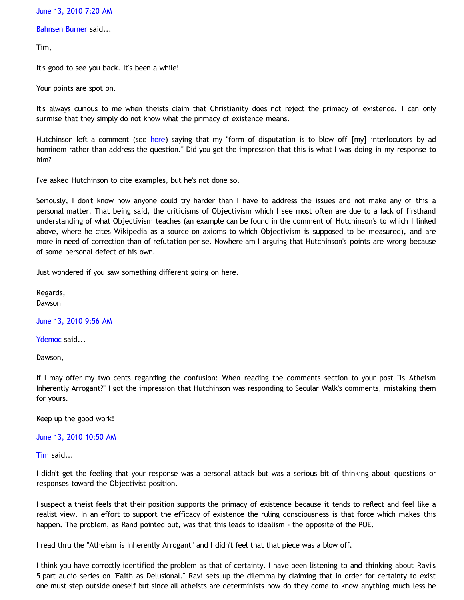[June 13, 2010 7:20 AM](http://bahnsenburner.blogspot.com/2010/06/5453862246636185333)

[Bahnsen Burner](http://www.blogger.com/profile/11030029491768748360) said...

Tim,

It's good to see you back. It's been a while!

Your points are spot on.

It's always curious to me when theists claim that Christianity does not reject the primacy of existence. I can only surmise that they simply do not know what the primacy of existence means.

Hutchinson left a comment (see [here](http://bahnsenburner.blogspot.com/2010/06/is-atheism-inherently-arrogant.html)) saying that my "form of disputation is to blow off [my] interlocutors by ad hominem rather than address the question." Did you get the impression that this is what I was doing in my response to him?

I've asked Hutchinson to cite examples, but he's not done so.

Seriously, I don't know how anyone could try harder than I have to address the issues and not make any of this a personal matter. That being said, the criticisms of Objectivism which I see most often are due to a lack of firsthand understanding of what Objectivism teaches (an example can be found in the comment of Hutchinson's to which I linked above, where he cites Wikipedia as a source on axioms to which Objectivism is supposed to be measured), and are more in need of correction than of refutation per se. Nowhere am I arguing that Hutchinson's points are wrong because of some personal defect of his own.

Just wondered if you saw something different going on here.

Regards, Dawson

[June 13, 2010 9:56 AM](http://bahnsenburner.blogspot.com/2010/06/4999708185951352510)

[Ydemoc](http://www.blogger.com/profile/03498165330193613762) said...

Dawson,

If I may offer my two cents regarding the confusion: When reading the comments section to your post "Is Atheism Inherently Arrogant?" I got the impression that Hutchinson was responding to Secular Walk's comments, mistaking them for yours.

Keep up the good work!

## [June 13, 2010 10:50 AM](http://bahnsenburner.blogspot.com/2010/06/4712661977898040048)

[Tim](http://www.blogger.com/profile/17956849037158609520) said...

I didn't get the feeling that your response was a personal attack but was a serious bit of thinking about questions or responses toward the Objectivist position.

I suspect a theist feels that their position supports the primacy of existence because it tends to reflect and feel like a realist view. In an effort to support the efficacy of existence the ruling consciousness is that force which makes this happen. The problem, as Rand pointed out, was that this leads to idealism - the opposite of the POE.

I read thru the "Atheism is Inherently Arrogant" and I didn't feel that that piece was a blow off.

I think you have correctly identified the problem as that of certainty. I have been listening to and thinking about Ravi's 5 part audio series on "Faith as Delusional." Ravi sets up the dilemma by claiming that in order for certainty to exist one must step outside oneself but since all atheists are determinists how do they come to know anything much less be